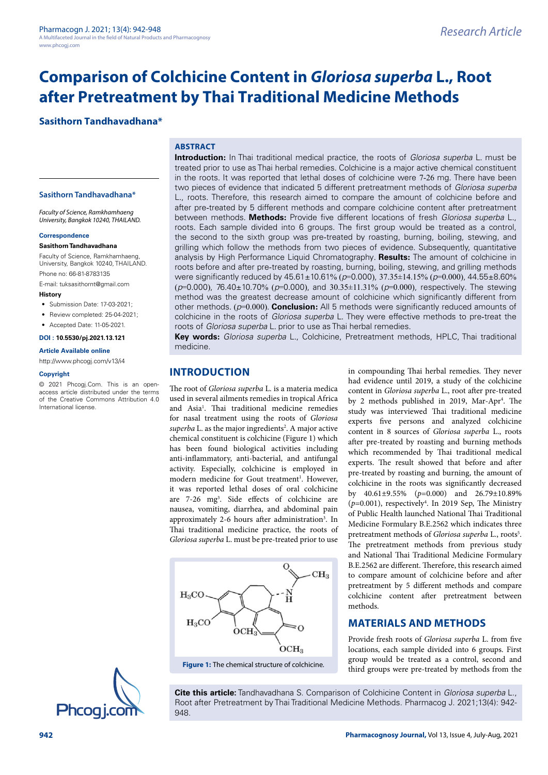# **Comparison of Colchicine Content in** *Gloriosa superba* **L., Root after Pretreatment by Thai Traditional Medicine Methods**

# **Sasithorn Tandhavadhana\***

# **ABSTRACT**

**Sasithorn Tandhavadhana\***

*Faculty of Science, Ramkhamhaeng University, Bangkok 10240, THAILAND.*

#### **Correspondence**

## **Sasithorn Tandhavadhana**

Faculty of Science, Ramkhamhaeng, University, Bangkok 10240, THAILAND. Phone no: 66-81-8783135

E-mail: [tuksasithornt@gmail.com](mailto:tuksasithornt@gmail.com)

- **History**
- Submission Date: 17-03-2021:
- Review completed: 25-04-2021;
- Accepted Date: 11-05-2021

## **DOI : 10.5530/pj.2021.13.121**

#### **Article Available online**

<http://www.phcogj.com/v13/i4>

#### **Copyright**

© 2021 Phcogj.Com. This is an openaccess article distributed under the terms of the Creative Commons Attribution 4.0 International license.

**Introduction:** In Thai traditional medical practice, the roots of *Gloriosa superba* L. must be treated prior to use as Thai herbal remedies. Colchicine is a major active chemical constituent in the roots. It was reported that lethal doses of colchicine were 7-26 mg. There have been two pieces of evidence that indicated 5 different pretreatment methods of *Gloriosa superba* L., roots. Therefore, this research aimed to compare the amount of colchicine before and after pre-treated by 5 different methods and compare colchicine content after pretreatment between methods. **Methods:** Provide five different locations of fresh *Gloriosa superba* L., roots. Each sample divided into 6 groups. The first group would be treated as a control, the second to the sixth group was pre-treated by roasting, burning, boiling, stewing, and grilling which follow the methods from two pieces of evidence. Subsequently, quantitative analysis by High Performance Liquid Chromatography. **Results:** The amount of colchicine in roots before and after pre-treated by roasting, burning, boiling, stewing, and grilling methods were significantly reduced by 45.61±10.61% (*p*=0.000), 37.35±14.15% (*p*=0.000), 44.55±8.60% (*p*=0.000), 76.40±10.70% (*p*=0.000), and 30.35±11.31% (*p*=0.000), respectively. The stewing method was the greatest decrease amount of colchicine which significantly different from other methods. (*p*=0.000). **Conclusion:** All 5 methods were significantly reduced amounts of colchicine in the roots of *Gloriosa superba* L. They were effective methods to pre-treat the roots of *Gloriosa superba* L. prior to use as Thai herbal remedies.

**Key words:** *Gloriosa superba* L., Colchicine, Pretreatment methods, HPLC, Thai traditional medicine.

# **INTRODUCTION**

The root of *Gloriosa superba* L. is a materia medica used in several ailments remedies in tropical Africa and Asia<sup>1</sup>. Thai traditional medicine remedies for nasal treatment using the roots of *Gloriosa*  superba L. as the major ingredients<sup>2</sup>. A major active chemical constituent is colchicine (Figure 1) which has been found biological activities including anti-inflammatory, anti-bacterial, and antifungal activity. Especially, colchicine is employed in modern medicine for Gout treatment<sup>1</sup>. However, it was reported lethal doses of oral colchicine are 7-26 mg3 . Side effects of colchicine are nausea, vomiting, diarrhea, and abdominal pain approximately 2-6 hours after administration<sup>3</sup>. In Thai traditional medicine practice, the roots of *Gloriosa superba* L. must be pre-treated prior to use



**Figure 1:** The chemical structure of colchicine.

in compounding Thai herbal remedies. They never had evidence until 2019, a study of the colchicine content in *Gloriosa superba* L., root after pre-treated by 2 methods published in 2019, Mar-Apr<sup>4</sup>. The study was interviewed Thai traditional medicine experts five persons and analyzed colchicine content in 8 sources of *Gloriosa superba* L., roots after pre-treated by roasting and burning methods which recommended by Thai traditional medical experts. The result showed that before and after pre-treated by roasting and burning, the amount of colchicine in the roots was significantly decreased by 40.61±9.55% (*p*=0.000) and 26.79±10.89%  $(p=0.001)$ , respectively<sup>4</sup>. In 2019 Sep, The Ministry of Public Health launched National Thai Traditional Medicine Formulary B.E.2562 which indicates three pretreatment methods of *Gloriosa superba* L., roots<sup>5</sup>. The pretreatment methods from previous study and National Thai Traditional Medicine Formulary B.E.2562 are different. Therefore, this research aimed to compare amount of colchicine before and after pretreatment by 5 different methods and compare colchicine content after pretreatment between methods.

# **MATERIALS AND METHODS**

Provide fresh roots of *Gloriosa superba* L. from five locations, each sample divided into 6 groups. First group would be treated as a control, second and third groups were pre-treated by methods from the



**Cite this article:** Tandhavadhana S. Comparison of Colchicine Content in *Gloriosa superba* L., Root after Pretreatment by Thai Traditional Medicine Methods. Pharmacog J. 2021;13(4): 942-<br>
948.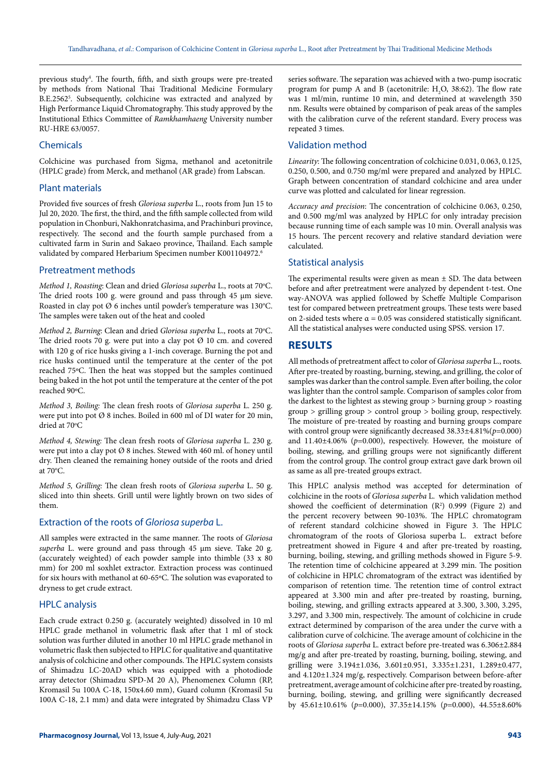previous study<sup>4</sup>. The fourth, fifth, and sixth groups were pre-treated by methods from National Thai Traditional Medicine Formulary B.E.25625 . Subsequently, colchicine was extracted and analyzed by High Performance Liquid Chromatography. This study approved by the Institutional Ethics Committee of *Ramkhamhaeng* University number RU-HRE 63/0057.

#### Chemicals

Colchicine was purchased from Sigma, methanol and acetonitrile (HPLC grade) from Merck, and methanol (AR grade) from Labscan.

#### Plant materials

Provided five sources of fresh *Gloriosa superba* L., roots from Jun 15 to Jul 20, 2020. The first, the third, and the fifth sample collected from wild population in Chonburi, Nakhonratchasima, and Prachinburi province, respectively. The second and the fourth sample purchased from a cultivated farm in Surin and Sakaeo province, Thailand. Each sample validated by compared Herbarium Specimen number [K001104972.](http://specimens.kew.org/herbarium/K001104972) 6

#### Pretreatment methods

Method 1, Roasting: Clean and dried *Gloriosa superba* L., roots at 70°C. The dried roots 100 g. were ground and pass through 45 µm sieve. Roasted in clay pot Ø 6 inches until powder's temperature was 130°C. The samples were taken out of the heat and cooled

Method 2, Burning: Clean and dried *Gloriosa superba L.*, roots at 70°C. The dried roots 70 g. were put into a clay pot  $\varnothing$  10 cm. and covered with 120 g of rice husks giving a 1-inch coverage. Burning the pot and rice husks continued until the temperature at the center of the pot reached 75ºC. Then the heat was stopped but the samples continued being baked in the hot pot until the temperature at the center of the pot reached 90ºC.

*Method 3, Boiling:* The clean fresh roots of *Gloriosa superba* L. 250 g. were put into pot Ø 8 inches. Boiled in 600 ml of DI water for 20 min, dried at 70°C

*Method 4, Stewing:* The clean fresh roots of *Gloriosa superba* L. 230 g. were put into a clay pot Ø 8 inches. Stewed with 460 ml. of honey until dry. Then cleaned the remaining honey outside of the roots and dried at  $70^{\circ}$ C.

*Method 5, Grilling:* The clean fresh roots of *Gloriosa superba* L. 50 g. sliced into thin sheets. Grill until were lightly brown on two sides of them.

## Extraction of the roots of *Gloriosa superba* L.

All samples were extracted in the same manner. The roots of *Gloriosa superba* L. were ground and pass through 45 µm sieve. Take 20 g. (accurately weighted) of each powder sample into thimble (33 x 80 mm) for 200 ml soxhlet extractor. Extraction process was continued for six hours with methanol at 60-65ºC. The solution was evaporated to dryness to get crude extract.

## HPLC analysis

Each crude extract 0.250 g. (accurately weighted) dissolved in 10 ml HPLC grade methanol in volumetric flask after that 1 ml of stock solution was further diluted in another 10 ml HPLC grade methanol in volumetric flask then subjected to HPLC for qualitative and quantitative analysis of colchicine and other compounds. The HPLC system consists of Shimadzu LC-20AD which was equipped with a photodiode array detector (Shimadzu SPD-M 20 A), Phenomenex Column (RP, Kromasil 5u 100A C-18, 150x4.60 mm), Guard column (Kromasil 5u 100A C-18, 2.1 mm) and data were integrated by Shimadzu Class VP

series software. The separation was achieved with a two-pump isocratic program for pump A and B (acetonitrile:  $H_2O$ , 38:62). The flow rate was 1 ml/min, runtime 10 min, and determined at wavelength 350 nm. Results were obtained by comparison of peak areas of the samples with the calibration curve of the referent standard. Every process was repeated 3 times.

### Validation method

*Linearity*: The following concentration of colchicine 0.031, 0.063, 0.125, 0.250, 0.500, and 0.750 mg/ml were prepared and analyzed by HPLC. Graph between concentration of standard colchicine and area under curve was plotted and calculated for linear regression.

*Accuracy and precision*: The concentration of colchicine 0.063, 0.250, and 0.500 mg/ml was analyzed by HPLC for only intraday precision because running time of each sample was 10 min. Overall analysis was 15 hours. The percent recovery and relative standard deviation were calculated.

#### Statistical analysis

The experimental results were given as mean  $\pm$  SD. The data between before and after pretreatment were analyzed by dependent t-test. One way-ANOVA was applied followed by Scheffe Multiple Comparison test for compared between pretreatment groups. These tests were based on 2-sided tests where  $\alpha = 0.05$  was considered statistically significant. All the statistical analyses were conducted using SPSS. version 17.

## **RESULTS**

All methods of pretreatment affect to color of *Gloriosa superba* L., roots. After pre-treated by roasting, burning, stewing, and grilling, the color of samples was darker than the control sample. Even after boiling, the color was lighter than the control sample. Comparison of samples color from the darkest to the lightest as stewing group > burning group > roasting group > grilling group > control group > boiling group, respectively. The moisture of pre-treated by roasting and burning groups compare with control group were significantly decreased 38.33±4.81%(*p*=0.000) and 11.40±4.06% (*p*=0.000), respectively. However, the moisture of boiling, stewing, and grilling groups were not significantly different from the control group. The control group extract gave dark brown oil as same as all pre-treated groups extract.

This HPLC analysis method was accepted for determination of colchicine in the roots of *Gloriosa superba* L. which validation method showed the coefficient of determination  $(R^2)$  0.999 (Figure 2) and the percent recovery between 90-103%. The HPLC chromatogram of referent standard colchicine showed in Figure 3. The HPLC chromatogram of the roots of Gloriosa superba L. extract before pretreatment showed in Figure 4 and after pre-treated by roasting, burning, boiling, stewing, and grilling methods showed in Figure 5-9. The retention time of colchicine appeared at 3.299 min. The position of colchicine in HPLC chromatogram of the extract was identified by comparison of retention time. The retention time of control extract appeared at 3.300 min and after pre-treated by roasting, burning, boiling, stewing, and grilling extracts appeared at 3.300, 3.300, 3.295, 3.297, and 3.300 min, respectively. The amount of colchicine in crude extract determined by comparison of the area under the curve with a calibration curve of colchicine. The average amount of colchicine in the roots of *Gloriosa superba* L. extract before pre-treated was 6.306±2.884 mg/g and after pre-treated by roasting, burning, boiling, stewing, and grilling were 3.194±1.036, 3.601±0.951, 3.335±1.231, 1.289±0.477, and 4.120±1.324 mg/g, respectively. Comparison between before-after pretreatment, average amount of colchicine after pre-treated by roasting, burning, boiling, stewing, and grilling were significantly decreased by 45.61±10.61% (*p*=0.000), 37.35±14.15% (*p*=0.000), 44.55±8.60%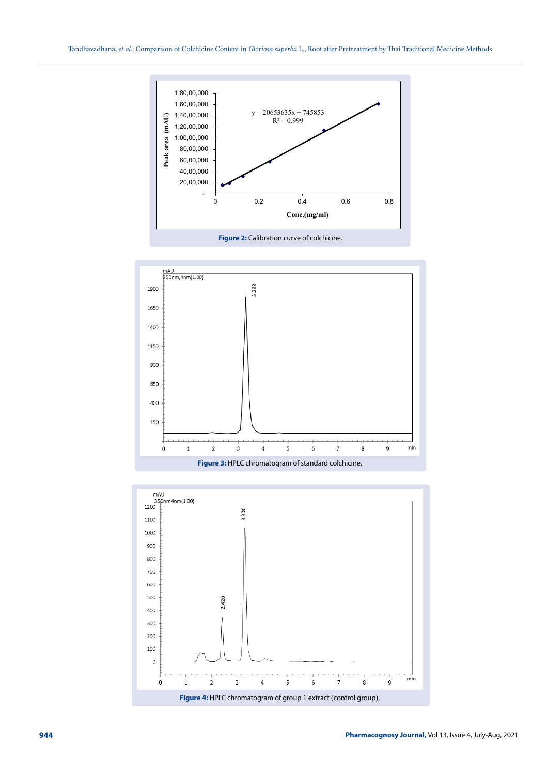



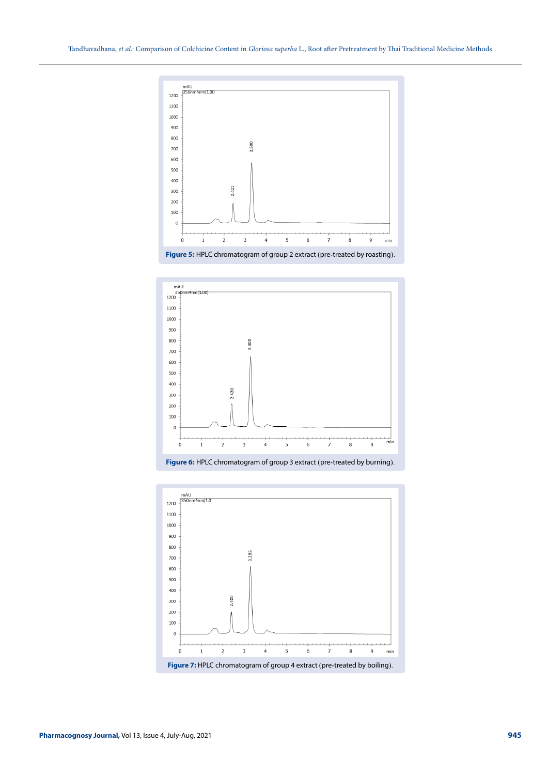





**Figure 6:** HPLC chromatogram of group 3 extract (pre-treated by burning).

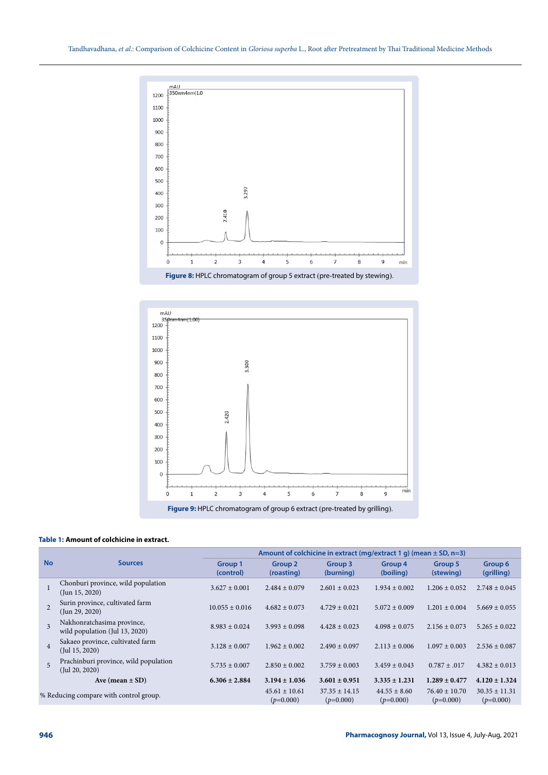



### **Table 1: Amount of colchicine in extract.**

|                                        | <b>Sources</b>                                                | Amount of colchicine in extract (mg/extract 1 g) (mean $\pm$ SD, n=3) |                                  |                                  |                                 |                                  |                                  |
|----------------------------------------|---------------------------------------------------------------|-----------------------------------------------------------------------|----------------------------------|----------------------------------|---------------------------------|----------------------------------|----------------------------------|
| <b>No</b>                              |                                                               | Group 1<br>(control)                                                  | Group <sub>2</sub><br>(roasting) | Group 3<br>(burning)             | Group 4<br>(boiling)            | Group 5<br>(stewing)             | Group 6<br>(grilling)            |
|                                        | Chonburi province, wild population<br>$($ Jun 15, 2020 $)$    | $3.627 \pm 0.001$                                                     | $2.484 \pm 0.079$                | $2.601 \pm 0.023$                | $1.934 \pm 0.002$               | $1.206 \pm 0.052$                | $2.748 \pm 0.045$                |
| $\overline{2}$                         | Surin province, cultivated farm<br>$($ Jun 29, 2020 $)$       | $10.055 \pm 0.016$                                                    | $4.682 \pm 0.073$                | $4.729 \pm 0.021$                | $5.072 \pm 0.009$               | $1.201 \pm 0.004$                | $5.669 \pm 0.055$                |
| $\overline{\mathbf{3}}$                | Nakhonratchasima province,<br>wild population (Jul 13, 2020)  | $8.983 + 0.024$                                                       | $3.993 + 0.098$                  | $4.428 \pm 0.023$                | $4.098 \pm 0.075$               | $2.156 \pm 0.073$                | $5.265 \pm 0.022$                |
| $\overline{4}$                         | Sakaeo province, cultivated farm<br>$($ Jul 15, 2020)         | $3.128 \pm 0.007$                                                     | $1.962 \pm 0.002$                | $2.490 \pm 0.097$                | $2.113 \pm 0.006$               | $1.097 \pm 0.003$                | $2.536 \pm 0.087$                |
| 5                                      | Prachinburi province, wild population<br>$($ Jul 20, 2020 $)$ | $5.735 \pm 0.007$                                                     | $2.850 \pm 0.002$                | $3.759 \pm 0.003$                | $3.459 \pm 0.043$               | $0.787 \pm .017$                 | $4.382 \pm 0.013$                |
|                                        | Ave (mean $\pm$ SD)                                           | $6.306 \pm 2.884$                                                     | $3.194 \pm 1.036$                | $3.601 \pm 0.951$                | $3.335 \pm 1.231$               | $1.289 \pm 0.477$                | $4.120 \pm 1.324$                |
| % Reducing compare with control group. |                                                               |                                                                       | $45.61 \pm 10.61$<br>$(p=0.000)$ | $37.35 \pm 14.15$<br>$(p=0.000)$ | $44.55 \pm 8.60$<br>$(p=0.000)$ | $76.40 \pm 10.70$<br>$(p=0.000)$ | $30.35 \pm 11.31$<br>$(p=0.000)$ |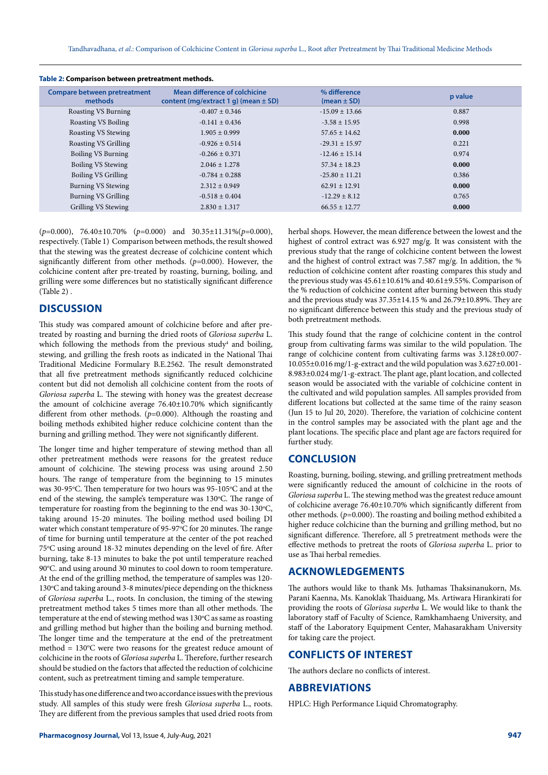| <u>iaple 2. Companioni between pretreatment methods.</u> |                                                                           |                                 |         |  |  |  |  |  |
|----------------------------------------------------------|---------------------------------------------------------------------------|---------------------------------|---------|--|--|--|--|--|
| <b>Compare between pretreatment</b><br>methods           | Mean difference of colchicine<br>content (mg/extract 1 g) (mean $\pm$ SD) | % difference<br>$(mean \pm SD)$ | p value |  |  |  |  |  |
| Roasting VS Burning                                      | $-0.407 \pm 0.346$                                                        | $-15.09 \pm 13.66$              | 0.887   |  |  |  |  |  |
| <b>Roasting VS Boiling</b>                               | $-0.141 \pm 0.436$                                                        | $-3.58 \pm 15.95$               | 0.998   |  |  |  |  |  |
| Roasting VS Stewing                                      | $1.905 \pm 0.999$                                                         | $57.65 \pm 14.62$               | 0.000   |  |  |  |  |  |
| Roasting VS Grilling                                     | $-0.926 \pm 0.514$                                                        | $-29.31 \pm 15.97$              | 0.221   |  |  |  |  |  |
| Boiling VS Burning                                       | $-0.266 \pm 0.371$                                                        | $-12.46 \pm 15.14$              | 0.974   |  |  |  |  |  |
| Boiling VS Stewing                                       | $2.046 \pm 1.278$                                                         | $57.34 \pm 18.23$               | 0.000   |  |  |  |  |  |
| Boiling VS Grilling                                      | $-0.784 \pm 0.288$                                                        | $-25.80 \pm 11.21$              | 0.386   |  |  |  |  |  |
| Burning VS Stewing                                       | $2.312 \pm 0.949$                                                         | $62.91 \pm 12.91$               | 0.000   |  |  |  |  |  |
| Burning VS Grilling                                      | $-0.518 \pm 0.404$                                                        | $-12.29 \pm 8.12$               | 0.765   |  |  |  |  |  |
| Grilling VS Stewing                                      | $2.830 \pm 1.317$                                                         | $66.55 \pm 12.77$               | 0.000   |  |  |  |  |  |
|                                                          |                                                                           |                                 |         |  |  |  |  |  |

**Table 2: Comparison between pretreatment methods.**

(*p*=0.000), 76.40±10.70% (*p*=0.000) and 30.35±11.31%(*p*=0.000), respectively. (Table 1) Comparison between methods, the result showed that the stewing was the greatest decrease of colchicine content which significantly different from other methods. (*p*=0.000). However, the colchicine content after pre-treated by roasting, burning, boiling, and grilling were some differences but no statistically significant difference (Table 2) .

## **DISCUSSION**

This study was compared amount of colchicine before and after pretreated by roasting and burning the dried roots of *Gloriosa superba* L. which following the methods from the previous study<sup>4</sup> and boiling, stewing, and grilling the fresh roots as indicated in the National Thai Traditional Medicine Formulary B.E.2562. The result demonstrated that all five pretreatment methods significantly reduced colchicine content but did not demolish all colchicine content from the roots of *Gloriosa superba* L. The stewing with honey was the greatest decrease the amount of colchicine average 76.40±10.70% which significantly different from other methods. (*p*=0.000). Although the roasting and boiling methods exhibited higher reduce colchicine content than the burning and grilling method. They were not significantly different.

The longer time and higher temperature of stewing method than all other pretreatment methods were reasons for the greatest reduce amount of colchicine. The stewing process was using around 2.50 hours. The range of temperature from the beginning to 15 minutes was 30-95°C. Then temperature for two hours was 95-105°C and at the end of the stewing, the sample's temperature was 130°C. The range of temperature for roasting from the beginning to the end was  $30-130^{\circ}$ C, taking around 15-20 minutes. The boiling method used boiling DI water which constant temperature of 95-97°C for 20 minutes. The range of time for burning until temperature at the center of the pot reached 75°C using around 18-32 minutes depending on the level of fire. After burning, take 8-13 minutes to bake the pot until temperature reached 90°C. and using around 30 minutes to cool down to room temperature. At the end of the grilling method, the temperature of samples was 120- 130°C and taking around 3-8 minutes/piece depending on the thickness of *Gloriosa superba* L., roots. In conclusion, the timing of the stewing pretreatment method takes 5 times more than all other methods. The temperature at the end of stewing method was 130°C as same as roasting and grilling method but higher than the boiling and burning method. The longer time and the temperature at the end of the pretreatment method  $= 130^{\circ}$ C were two reasons for the greatest reduce amount of colchicine in the roots of *Gloriosa superba* L. Therefore, further research should be studied on the factors that affected the reduction of colchicine content, such as pretreatment timing and sample temperature.

This study has one difference and two accordance issues with the previous study. All samples of this study were fresh *Gloriosa superba* L., roots. They are different from the previous samples that used dried roots from

herbal shops. However, the mean difference between the lowest and the highest of control extract was 6.927 mg/g. It was consistent with the previous study that the range of colchicine content between the lowest and the highest of control extract was 7.587 mg/g. In addition, the % reduction of colchicine content after roasting compares this study and the previous study was  $45.61 \pm 10.61\%$  and  $40.61 \pm 9.55\%$ . Comparison of the % reduction of colchicine content after burning between this study and the previous study was 37.35±14.15 % and 26.79±10.89%. They are no significant difference between this study and the previous study of both pretreatment methods.

This study found that the range of colchicine content in the control group from cultivating farms was similar to the wild population. The range of colchicine content from cultivating farms was 3.128±0.007- 10.055±0.016 mg/1-g-extract and the wild population was 3.627±0.001- 8.983±0.024 mg/1-g-extract. The plant age, plant location, and collected season would be associated with the variable of colchicine content in the cultivated and wild population samples. All samples provided from different locations but collected at the same time of the rainy season (Jun 15 to Jul 20, 2020). Therefore, the variation of colchicine content in the control samples may be associated with the plant age and the plant locations. The specific place and plant age are factors required for further study.

## **CONCLUSION**

Roasting, burning, boiling, stewing, and grilling pretreatment methods were significantly reduced the amount of colchicine in the roots of *Gloriosa superba* L. The stewing method was the greatest reduce amount of colchicine average 76.40±10.70% which significantly different from other methods. (*p*=0.000). The roasting and boiling method exhibited a higher reduce colchicine than the burning and grilling method, but no significant difference. Therefore, all 5 pretreatment methods were the effective methods to pretreat the roots of *Gloriosa superba* L. prior to use as Thai herbal remedies.

# **ACKNOWLEDGEMENTS**

The authors would like to thank Ms. Juthamas Thaksinanukorn, Ms. Parani Kaenna, Ms. Kanoklak Thaiduang, Ms. Artiwara Hirankirati for providing the roots of *Gloriosa superba* L. We would like to thank the laboratory staff of Faculty of Science, Ramkhamhaeng University, and staff of the Laboratory Equipment Center, Mahasarakham University for taking care the project.

# **CONFLICTS OF INTEREST**

The authors declare no conflicts of interest.

## **ABBREVIATIONS**

HPLC: High Performance Liquid Chromatography.